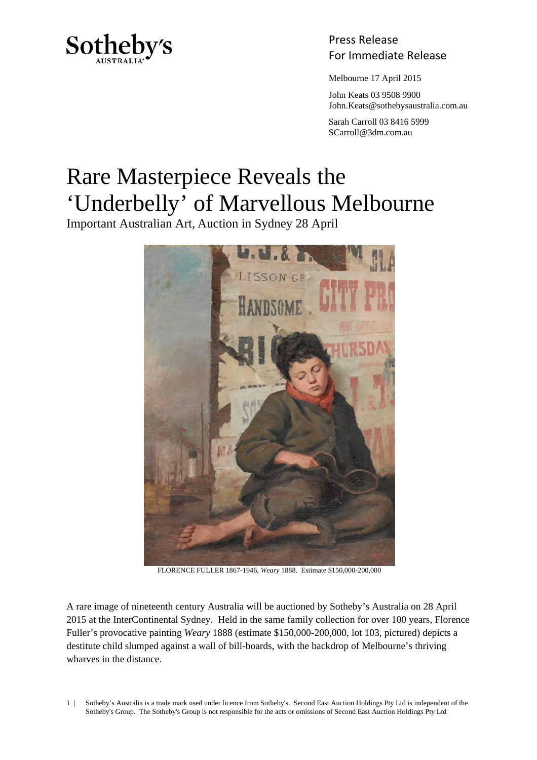

Press Release Sotheby's<br>For Immediate Release

Melbourne 17 April 2015

 John Keats 03 9508 9900 John.Keats@sothebysaustralia.com.au

 Sarah Carroll 03 8416 5999 SCarroll@3dm.com.au

## Rare Masterpiece Reveals the 'Underbelly' of Marvellous Melbourne

Important Australian Art, Auction in Sydney 28 April



FLORENCE FULLER 1867-1946, *Weary* 1888. Estimate \$150,000-200,000

A rare image of nineteenth century Australia will be auctioned by Sotheby's Australia on 28 April 2015 at the InterContinental Sydney. Held in the same family collection for over 100 years, Florence Fuller's provocative painting *Weary* 1888 (estimate \$150,000-200,000, lot 103, pictured) depicts a destitute child slumped against a wall of bill-boards, with the backdrop of Melbourne's thriving wharves in the distance.

1 | Sotheby's Australia is a trade mark used under licence from Sotheby's. Second East Auction Holdings Pty Ltd is independent of the Sotheby's Group. The Sotheby's Group is not responsible for the acts or omissions of Second East Auction Holdings Pty Ltd